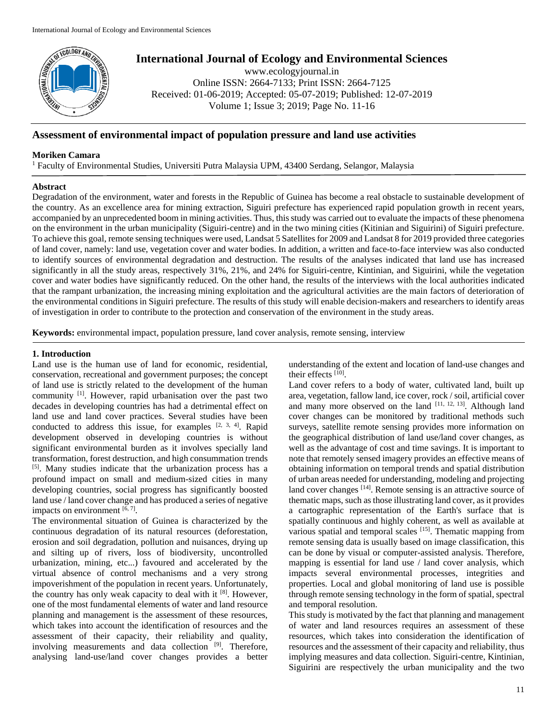

# **International Journal of Ecology and Environmental Sciences**

www.ecologyjournal.in Online ISSN: 2664-7133; Print ISSN: 2664-7125 Received: 01-06-2019; Accepted: 05-07-2019; Published: 12-07-2019 Volume 1; Issue 3; 2019; Page No. 11-16

# **Assessment of environmental impact of population pressure and land use activities**

## **Moriken Camara**

<sup>1</sup> Faculty of Environmental Studies, Universiti Putra Malaysia UPM, 43400 Serdang, Selangor, Malaysia

## **Abstract**

Degradation of the environment, water and forests in the Republic of Guinea has become a real obstacle to sustainable development of the country. As an excellence area for mining extraction, Siguiri prefecture has experienced rapid population growth in recent years, accompanied by an unprecedented boom in mining activities. Thus, this study was carried out to evaluate the impacts of these phenomena on the environment in the urban municipality (Siguiri-centre) and in the two mining cities (Kitinian and Siguirini) of Siguiri prefecture. To achieve this goal, remote sensing techniques were used, Landsat 5 Satellites for 2009 and Landsat 8 for 2019 provided three categories of land cover, namely: land use, vegetation cover and water bodies. In addition, a written and face-to-face interview was also conducted to identify sources of environmental degradation and destruction. The results of the analyses indicated that land use has increased significantly in all the study areas, respectively 31%, 21%, and 24% for Siguiri-centre, Kintinian, and Siguirini, while the vegetation cover and water bodies have significantly reduced. On the other hand, the results of the interviews with the local authorities indicated that the rampant urbanization, the increasing mining exploitation and the agricultural activities are the main factors of deterioration of the environmental conditions in Siguiri prefecture. The results of this study will enable decision-makers and researchers to identify areas of investigation in order to contribute to the protection and conservation of the environment in the study areas.

**Keywords:** environmental impact, population pressure, land cover analysis, remote sensing, interview

## **1. Introduction**

Land use is the human use of land for economic, residential, conservation, recreational and government purposes; the concept of land use is strictly related to the development of the human community [1]. However, rapid urbanisation over the past two decades in developing countries has had a detrimental effect on land use and land cover practices. Several studies have been conducted to address this issue, for examples  $[2, 3, 4]$ . Rapid development observed in developing countries is without significant environmental burden as it involves specially land transformation, forest destruction, and high consummation trends [5]. Many studies indicate that the urbanization process has a profound impact on small and medium-sized cities in many developing countries, social progress has significantly boosted land use / land cover change and has produced a series of negative impacts on environment  $[6, 7]$ .

The environmental situation of Guinea is characterized by the continuous degradation of its natural resources (deforestation, erosion and soil degradation, pollution and nuisances, drying up and silting up of rivers, loss of biodiversity, uncontrolled urbanization, mining, etc...) favoured and accelerated by the virtual absence of control mechanisms and a very strong impoverishment of the population in recent years. Unfortunately, the country has only weak capacity to deal with it [8]. However, one of the most fundamental elements of water and land resource planning and management is the assessment of these resources, which takes into account the identification of resources and the assessment of their capacity, their reliability and quality, involving measurements and data collection <sup>[9]</sup>. Therefore, analysing land-use/land cover changes provides a better

understanding of the extent and location of land-use changes and their effects [10].

Land cover refers to a body of water, cultivated land, built up area, vegetation, fallow land, ice cover, rock / soil, artificial cover and many more observed on the land  $[11, 12, 13]$ . Although land cover changes can be monitored by traditional methods such surveys, satellite remote sensing provides more information on the geographical distribution of land use/land cover changes, as well as the advantage of cost and time savings. It is important to note that remotely sensed imagery provides an effective means of obtaining information on temporal trends and spatial distribution of urban areas needed for understanding, modeling and projecting land cover changes [14]. Remote sensing is an attractive source of thematic maps, such as those illustrating land cover, as it provides a cartographic representation of the Earth's surface that is spatially continuous and highly coherent, as well as available at various spatial and temporal scales [15]. Thematic mapping from remote sensing data is usually based on image classification, this can be done by visual or computer-assisted analysis. Therefore, mapping is essential for land use / land cover analysis, which impacts several environmental processes, integrities and properties. Local and global monitoring of land use is possible through remote sensing technology in the form of spatial, spectral and temporal resolution.

This study is motivated by the fact that planning and management of water and land resources requires an assessment of these resources, which takes into consideration the identification of resources and the assessment of their capacity and reliability, thus implying measures and data collection. Siguiri-centre, Kintinian, Siguirini are respectively the urban municipality and the two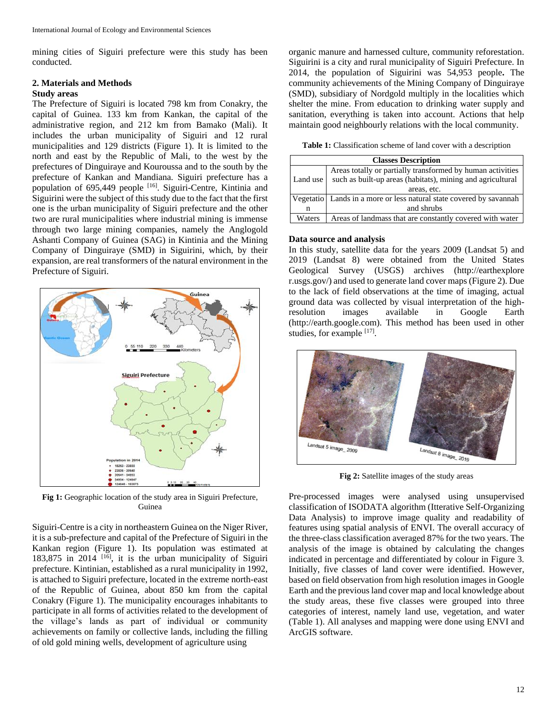mining cities of Siguiri prefecture were this study has been conducted.

# **2. Materials and Methods**

#### **Study areas**

The Prefecture of Siguiri is located 798 km from Conakry, the capital of Guinea. 133 km from Kankan, the capital of the administrative region, and 212 km from Bamako (Mali). It includes the urban municipality of Siguiri and 12 rural municipalities and 129 districts (Figure 1). It is limited to the north and east by the Republic of Mali, to the west by the prefectures of Dinguiraye and Kouroussa and to the south by the prefecture of Kankan and Mandiana. Siguiri prefecture has a population of 695,449 people [16]. Siguiri-Centre, Kintinia and Siguirini were the subject of this study due to the fact that the first one is the urban municipality of Siguiri prefecture and the other two are rural municipalities where industrial mining is immense through two large mining companies, namely the Anglogold Ashanti Company of Guinea (SAG) in Kintinia and the Mining Company of Dinguiraye (SMD) in Siguirini, which, by their expansion, are real transformers of the natural environment in the Prefecture of Siguiri.



**Fig 1:** Geographic location of the study area in Siguiri Prefecture, Guinea

Siguiri-Centre is a city in northeastern Guinea on the Niger River, it is a sub-prefecture and capital of the Prefecture of Siguiri in the Kankan region (Figure 1). Its population was estimated at 183,875 in 2014 [16], it is the urban municipality of Siguiri prefecture. Kintinian, established as a rural municipality in 1992, is attached to Siguiri prefecture, located in the extreme north-east of the Republic of Guinea, about 850 km from the capital Conakry (Figure 1). The municipality encourages inhabitants to participate in all forms of activities related to the development of the village's lands as part of individual or community achievements on family or collective lands, including the filling of old gold mining wells, development of agriculture using

organic manure and harnessed culture, community reforestation. Siguirini is a city and rural municipality of Siguiri Prefecture. In 2014, the population of Siguirini was 54,953 people**.** The community achievements of the Mining Company of Dinguiraye (SMD), subsidiary of Nordgold multiply in the localities which shelter the mine. From education to drinking water supply and sanitation, everything is taken into account. Actions that help maintain good neighbourly relations with the local community.

**Table 1:** Classification scheme of land cover with a description

| <b>Classes Description</b> |                                                                       |  |  |  |  |  |
|----------------------------|-----------------------------------------------------------------------|--|--|--|--|--|
| Land use                   | Areas totally or partially transformed by human activities            |  |  |  |  |  |
|                            | such as built-up areas (habitats), mining and agricultural            |  |  |  |  |  |
|                            | areas, etc.                                                           |  |  |  |  |  |
|                            | Vegetatio   Lands in a more or less natural state covered by savannah |  |  |  |  |  |
| n                          | and shrubs                                                            |  |  |  |  |  |
| Waters                     | Areas of landmass that are constantly covered with water              |  |  |  |  |  |

#### **Data source and analysis**

In this study, satellite data for the years 2009 (Landsat 5) and 2019 (Landsat 8) were obtained from the United States Geological Survey (USGS) archives (http://earthexplore r.usgs.gov/) and used to generate land cover maps (Figure 2). Due to the lack of field observations at the time of imaging, actual ground data was collected by visual interpretation of the highresolution images available in Google Earth (http://earth.google.com). This method has been used in other studies, for example [17].



**Fig 2:** Satellite images of the study areas

Pre-processed images were analysed using unsupervised classification of ISODATA algorithm (Itterative Self-Organizing Data Analysis) to improve image quality and readability of features using spatial analysis of ENVI. The overall accuracy of the three-class classification averaged 87% for the two years. The analysis of the image is obtained by calculating the changes indicated in percentage and differentiated by colour in Figure 3. Initially, five classes of land cover were identified. However, based on field observation from high resolution images in Google Earth and the previous land cover map and local knowledge about the study areas, these five classes were grouped into three categories of interest, namely land use, vegetation, and water (Table 1). All analyses and mapping were done using ENVI and ArcGIS software.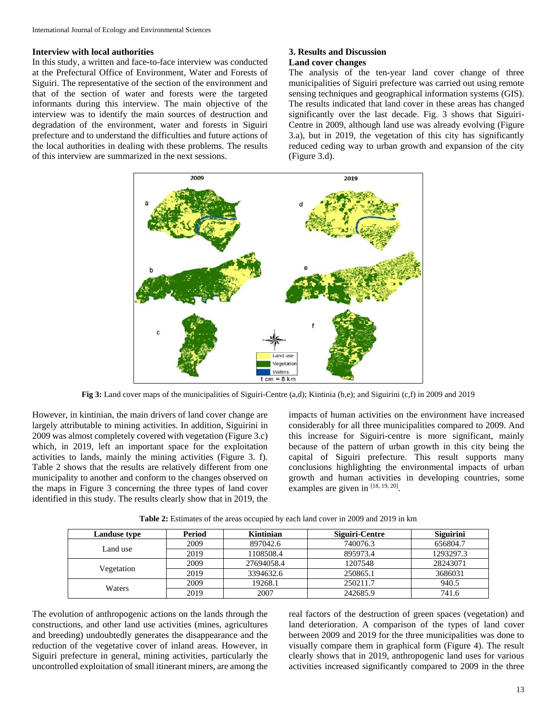#### **Interview with local authorities**

In this study, a written and face-to-face interview was conducted at the Prefectural Office of Environment, Water and Forests of Siguiri. The representative of the section of the environment and that of the section of water and forests were the targeted informants during this interview. The main objective of the interview was to identify the main sources of destruction and degradation of the environment, water and forests in Siguiri prefecture and to understand the difficulties and future actions of the local authorities in dealing with these problems. The results of this interview are summarized in the next sessions.

#### **3. Results and Discussion Land cover changes**

The analysis of the ten-year land cover change of three municipalities of Siguiri prefecture was carried out using remote sensing techniques and geographical information systems (GIS). The results indicated that land cover in these areas has changed significantly over the last decade. Fig. 3 shows that Siguiri-Centre in 2009, although land use was already evolving (Figure 3.a), but in 2019, the vegetation of this city has significantly reduced ceding way to urban growth and expansion of the city (Figure 3.d).



**Fig 3:** Land cover maps of the municipalities of Siguiri-Centre (a,d); Kintinia (b,e); and Siguirini (c,f) in 2009 and 2019

However, in kintinian, the main drivers of land cover change are largely attributable to mining activities. In addition, Siguirini in 2009 was almost completely covered with vegetation (Figure 3.c) which, in 2019, left an important space for the exploitation activities to lands, mainly the mining activities (Figure 3. f). Table 2 shows that the results are relatively different from one municipality to another and conform to the changes observed on the maps in Figure 3 concerning the three types of land cover identified in this study. The results clearly show that in 2019, the

impacts of human activities on the environment have increased considerably for all three municipalities compared to 2009. And this increase for Siguiri-centre is more significant, mainly because of the pattern of urban growth in this city being the capital of Siguiri prefecture. This result supports many conclusions highlighting the environmental impacts of urban growth and human activities in developing countries, some examples are given in [18, 19, 20].

| <b>Landuse type</b> | Period | Kintinian  | Siguiri-Centre | <b>Siguirini</b> |
|---------------------|--------|------------|----------------|------------------|
| Land use            | 2009   | 897042.6   | 740076.3       | 656804.7         |
|                     | 2019   | 1108508.4  | 895973.4       | 1293297.3        |
|                     | 2009   | 27694058.4 | 1207548        | 28243071         |
| Vegetation          | 2019   | 3394632.6  | 250865.1       | 3686031          |
| Waters              | 2009   | 19268.1    | 250211.7       | 940.5            |
|                     | 2019   | 2007       | 242685.9       | 741.6            |

**Table 2:** Estimates of the areas occupied by each land cover in 2009 and 2019 in km

The evolution of anthropogenic actions on the lands through the constructions, and other land use activities (mines, agricultures and breeding) undoubtedly generates the disappearance and the reduction of the vegetative cover of inland areas. However, in Siguiri prefecture in general, mining activities, particularly the uncontrolled exploitation of small itinerant miners, are among the real factors of the destruction of green spaces (vegetation) and land deterioration. A comparison of the types of land cover between 2009 and 2019 for the three municipalities was done to visually compare them in graphical form (Figure 4). The result clearly shows that in 2019, anthropogenic land uses for various activities increased significantly compared to 2009 in the three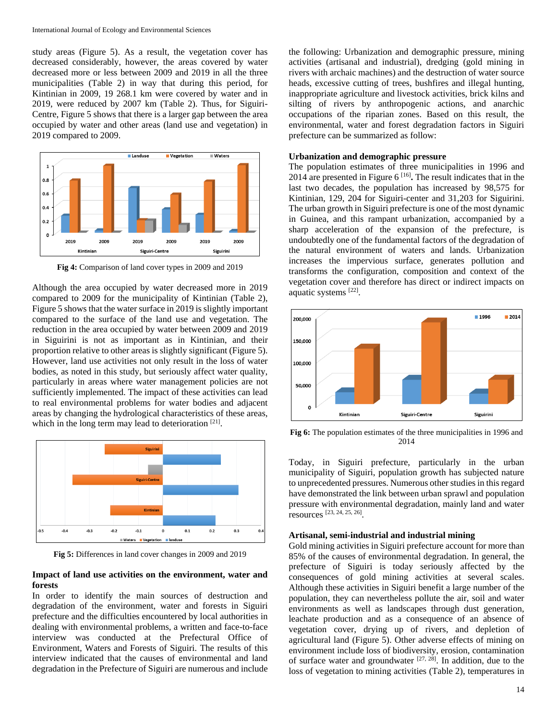study areas (Figure 5). As a result, the vegetation cover has decreased considerably, however, the areas covered by water decreased more or less between 2009 and 2019 in all the three municipalities (Table 2) in way that during this period, for Kintinian in 2009, 19 268.1 km were covered by water and in 2019, were reduced by 2007 km (Table 2). Thus, for Siguiri-Centre, Figure 5 shows that there is a larger gap between the area occupied by water and other areas (land use and vegetation) in 2019 compared to 2009.



**Fig 4:** Comparison of land cover types in 2009 and 2019

Although the area occupied by water decreased more in 2019 compared to 2009 for the municipality of Kintinian (Table 2), Figure 5 shows that the water surface in 2019 is slightly important compared to the surface of the land use and vegetation. The reduction in the area occupied by water between 2009 and 2019 in Siguirini is not as important as in Kintinian, and their proportion relative to other areas is slightly significant (Figure 5). However, land use activities not only result in the loss of water bodies, as noted in this study, but seriously affect water quality, particularly in areas where water management policies are not sufficiently implemented. The impact of these activities can lead to real environmental problems for water bodies and adjacent areas by changing the hydrological characteristics of these areas, which in the long term may lead to deterioration  $[21]$ .



**Fig 5:** Differences in land cover changes in 2009 and 2019

#### **Impact of land use activities on the environment, water and forests**

In order to identify the main sources of destruction and degradation of the environment, water and forests in Siguiri prefecture and the difficulties encountered by local authorities in dealing with environmental problems, a written and face-to-face interview was conducted at the Prefectural Office of Environment, Waters and Forests of Siguiri. The results of this interview indicated that the causes of environmental and land degradation in the Prefecture of Siguiri are numerous and include

the following: Urbanization and demographic pressure, mining activities (artisanal and industrial), dredging (gold mining in rivers with archaic machines) and the destruction of water source heads, excessive cutting of trees, bushfires and illegal hunting, inappropriate agriculture and livestock activities, brick kilns and silting of rivers by anthropogenic actions, and anarchic occupations of the riparian zones. Based on this result, the environmental, water and forest degradation factors in Siguiri prefecture can be summarized as follow:

#### **Urbanization and demographic pressure**

The population estimates of three municipalities in 1996 and 2014 are presented in Figure  $6^{[16]}$ . The result indicates that in the last two decades, the population has increased by 98,575 for Kintinian, 129, 204 for Siguiri-center and 31,203 for Siguirini. The urban growth in Siguiri prefecture is one of the most dynamic in Guinea, and this rampant urbanization, accompanied by a sharp acceleration of the expansion of the prefecture, is undoubtedly one of the fundamental factors of the degradation of the natural environment of waters and lands. Urbanization increases the impervious surface, generates pollution and transforms the configuration, composition and context of the vegetation cover and therefore has direct or indirect impacts on aquatic systems [22].



**Fig 6:** The population estimates of the three municipalities in 1996 and 2014

Today, in Siguiri prefecture, particularly in the urban municipality of Siguiri, population growth has subjected nature to unprecedented pressures. Numerous other studies in this regard have demonstrated the link between urban sprawl and population pressure with environmental degradation, mainly land and water resources [23, 24, 25, 26] .

#### **Artisanal, semi-industrial and industrial mining**

Gold mining activities in Siguiri prefecture account for more than 85% of the causes of environmental degradation. In general, the prefecture of Siguiri is today seriously affected by the consequences of gold mining activities at several scales. Although these activities in Siguiri benefit a large number of the population, they can nevertheless pollute the air, soil and water environments as well as landscapes through dust generation, leachate production and as a consequence of an absence of vegetation cover, drying up of rivers, and depletion of agricultural land (Figure 5). Other adverse effects of mining on environment include loss of biodiversity, erosion, contamination of surface water and groundwater  $[27, 28]$ . In addition, due to the loss of vegetation to mining activities (Table 2), temperatures in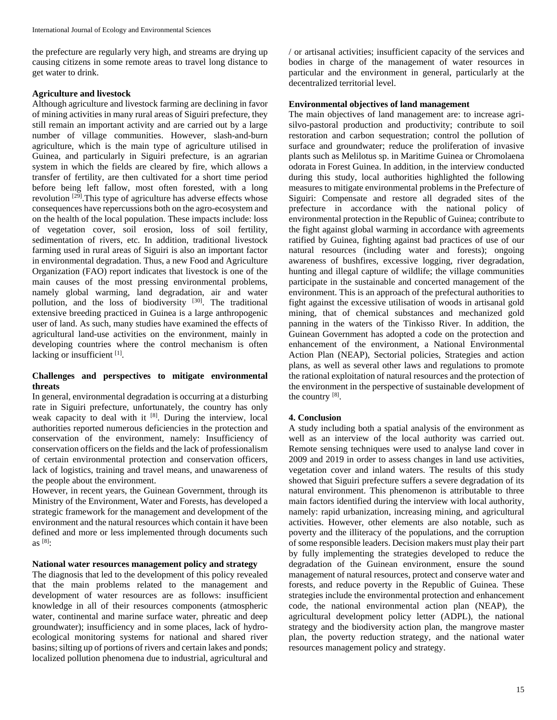the prefecture are regularly very high, and streams are drying up causing citizens in some remote areas to travel long distance to get water to drink.

#### **Agriculture and livestock**

Although agriculture and livestock farming are declining in favor of mining activities in many rural areas of Siguiri prefecture, they still remain an important activity and are carried out by a large number of village communities. However, slash-and-burn agriculture, which is the main type of agriculture utilised in Guinea, and particularly in Siguiri prefecture, is an agrarian system in which the fields are cleared by fire, which allows a transfer of fertility, are then cultivated for a short time period before being left fallow, most often forested, with a long revolution <sup>[29]</sup>. This type of agriculture has adverse effects whose consequences have repercussions both on the agro-ecosystem and on the health of the local population. These impacts include: loss of vegetation cover, soil erosion, loss of soil fertility, sedimentation of rivers, etc. In addition, traditional livestock farming used in rural areas of Siguiri is also an important factor in environmental degradation. Thus, a new Food and Agriculture Organization (FAO) report indicates that livestock is one of the main causes of the most pressing environmental problems, namely global warming, land degradation, air and water pollution, and the loss of biodiversity <sup>[30]</sup>. The traditional extensive breeding practiced in Guinea is a large anthropogenic user of land. As such, many studies have examined the effects of agricultural land-use activities on the environment, mainly in developing countries where the control mechanism is often lacking or insufficient [1].

# **Challenges and perspectives to mitigate environmental threats**

In general, environmental degradation is occurring at a disturbing rate in Siguiri prefecture, unfortunately, the country has only weak capacity to deal with it [8]. During the interview, local authorities reported numerous deficiencies in the protection and conservation of the environment, namely: Insufficiency of conservation officers on the fields and the lack of professionalism of certain environmental protection and conservation officers, lack of logistics, training and travel means, and unawareness of the people about the environment.

However, in recent years, the Guinean Government, through its Ministry of the Environment, Water and Forests, has developed a strategic framework for the management and development of the environment and the natural resources which contain it have been defined and more or less implemented through documents such as  $[8]$ :

#### **National water resources management policy and strategy**

The diagnosis that led to the development of this policy revealed that the main problems related to the management and development of water resources are as follows: insufficient knowledge in all of their resources components (atmospheric water, continental and marine surface water, phreatic and deep groundwater); insufficiency and in some places, lack of hydroecological monitoring systems for national and shared river basins; silting up of portions of rivers and certain lakes and ponds; localized pollution phenomena due to industrial, agricultural and

/ or artisanal activities; insufficient capacity of the services and bodies in charge of the management of water resources in particular and the environment in general, particularly at the decentralized territorial level.

## **Environmental objectives of land management**

The main objectives of land management are: to increase agrisilvo-pastoral production and productivity; contribute to soil restoration and carbon sequestration; control the pollution of surface and groundwater; reduce the proliferation of invasive plants such as Melilotus sp. in Maritime Guinea or Chromolaena odorata in Forest Guinea. In addition, in the interview conducted during this study, local authorities highlighted the following measures to mitigate environmental problems in the Prefecture of Siguiri: Compensate and restore all degraded sites of the prefecture in accordance with the national policy of environmental protection in the Republic of Guinea; contribute to the fight against global warming in accordance with agreements ratified by Guinea, fighting against bad practices of use of our natural resources (including water and forests); ongoing awareness of bushfires, excessive logging, river degradation, hunting and illegal capture of wildlife; the village communities participate in the sustainable and concerted management of the environment. This is an approach of the prefectural authorities to fight against the excessive utilisation of woods in artisanal gold mining, that of chemical substances and mechanized gold panning in the waters of the Tinkisso River. In addition, the Guinean Government has adopted a code on the protection and enhancement of the environment, a National Environmental Action Plan (NEAP), Sectorial policies, Strategies and action plans, as well as several other laws and regulations to promote the rational exploitation of natural resources and the protection of the environment in the perspective of sustainable development of the country  $[8]$ .

#### **4. Conclusion**

A study including both a spatial analysis of the environment as well as an interview of the local authority was carried out. Remote sensing techniques were used to analyse land cover in 2009 and 2019 in order to assess changes in land use activities, vegetation cover and inland waters. The results of this study showed that Siguiri prefecture suffers a severe degradation of its natural environment. This phenomenon is attributable to three main factors identified during the interview with local authority, namely: rapid urbanization, increasing mining, and agricultural activities. However, other elements are also notable, such as poverty and the illiteracy of the populations, and the corruption of some responsible leaders. Decision makers must play their part by fully implementing the strategies developed to reduce the degradation of the Guinean environment, ensure the sound management of natural resources, protect and conserve water and forests, and reduce poverty in the Republic of Guinea. These strategies include the environmental protection and enhancement code, the national environmental action plan (NEAP), the agricultural development policy letter (ADPL), the national strategy and the biodiversity action plan, the mangrove master plan, the poverty reduction strategy, and the national water resources management policy and strategy.